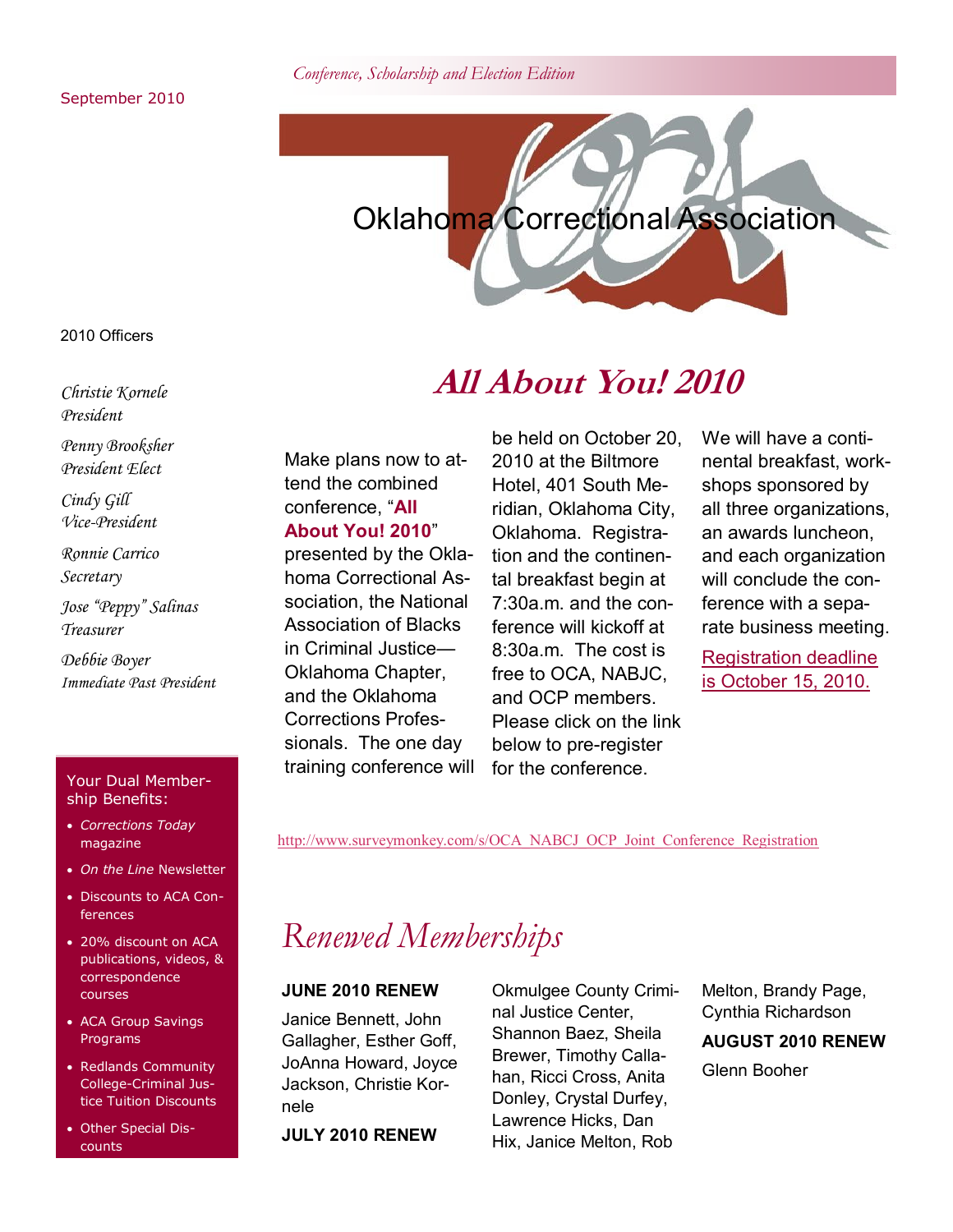*Conference, Scholarship and Election Edition*

September 2010



2010 Officers

*Christie Kornele President*

*Penny Brooksher President Elect*

*Cindy Gill Vice-President*

*Ronnie Carrico Secretary*

*Jose "Peppy" Salinas Treasurer*

*Debbie Boyer Immediate Past President*

#### Your Dual Membership Benefits:

- *Corrections Today*  magazine
- *On the Line* Newsletter
- Discounts to ACA Conferences
- 20% discount on ACA publications, videos, & correspondence courses
- ACA Group Savings Programs
- Redlands Community College-Criminal Justice Tuition Discounts
- Other Special Discounts

### **All About You! 2010**

Make plans now to attend the combined conference, "**All About You! 2010**"

presented by the Oklahoma Correctional Association, the National Association of Blacks in Criminal Justice— Oklahoma Chapter, and the Oklahoma Corrections Professionals. The one day training conference will

be held on October 20, 2010 at the Biltmore Hotel, 401 South Meridian, Oklahoma City, Oklahoma. Registration and the continental breakfast begin at 7:30a.m. and the conference will kickoff at 8:30a.m. The cost is free to OCA, NABJC, and OCP members. Please click on the link below to pre-register for the conference.

We will have a continental breakfast, workshops sponsored by all three organizations, an awards luncheon, and each organization will conclude the conference with a separate business meeting.

Registration deadline is October 15, 2010.

[http://www.surveymonkey.com/s/OCA\\_NABCJ\\_OCP\\_Joint\\_Conference\\_Registration](http://www.surveymonkey.com/s/OCA_NABCJ_OCP_Joint_Conference_Registration)

## *Renewed Memberships*

#### **JUNE 2010 RENEW**

Janice Bennett, John Gallagher, Esther Goff, JoAnna Howard, Joyce Jackson, Christie Kornele

**JULY 2010 RENEW**

Okmulgee County Criminal Justice Center, Shannon Baez, Sheila Brewer, Timothy Callahan, Ricci Cross, Anita Donley, Crystal Durfey, Lawrence Hicks, Dan Hix, Janice Melton, Rob

Melton, Brandy Page, Cynthia Richardson **AUGUST 2010 RENEW** Glenn Booher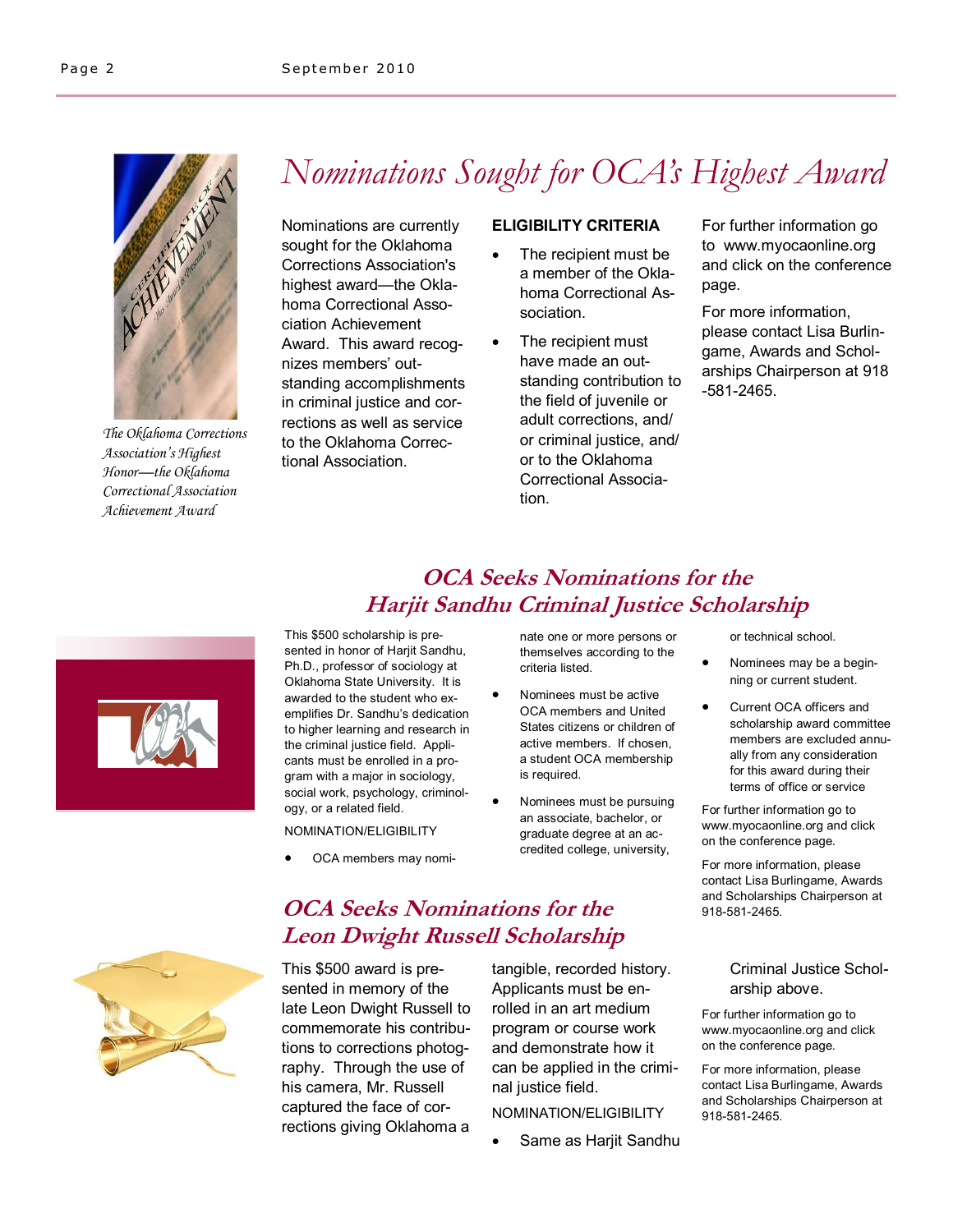

*The Oklahoma Corrections Association's Highest Honor—the Oklahoma Correctional Association Achievement Award*

# *Nominations Sought for OCA's Highest Award*

Nominations are currently sought for the Oklahoma Corrections Association's highest award—the Oklahoma Correctional Association Achievement Award. This award recognizes members' outstanding accomplishments in criminal justice and corrections as well as service to the Oklahoma Correctional Association.

#### **ELIGIBILITY CRITERIA**

- The recipient must be a member of the Oklahoma Correctional Association.
- The recipient must have made an outstanding contribution to the field of juvenile or adult corrections, and/ or criminal justice, and/ or to the Oklahoma Correctional Association.

For further information go to www.myocaonline.org and click on the conference page.

For more information, please contact Lisa Burlingame, Awards and Scholarships Chairperson at 918 -581-2465.

### **OCA Seeks Nominations for the Harjit Sandhu Criminal Justice Scholarship**



OCA members may nomi-

nate one or more persons or themselves according to the criteria listed.

- Nominees must be active OCA members and United States citizens or children of active members. If chosen, a student OCA membership is required.
- Nominees must be pursuing an associate, bachelor, or graduate degree at an accredited college, university,

or technical school.

- Nominees may be a beginning or current student.
- Current OCA officers and scholarship award committee members are excluded annually from any consideration for this award during their terms of office or service

For further information go to www.myocaonline.org and click on the conference page.

For more information, please contact Lisa Burlingame, Awards and Scholarships Chairperson at 918-581-2465.

#### Criminal Justice Scholarship above.

For further information go to www.myocaonline.org and click on the conference page.

For more information, please contact Lisa Burlingame, Awards and Scholarships Chairperson at 918-581-2465.



### **OCA Seeks Nominations for the Leon Dwight Russell Scholarship**

This \$500 award is presented in memory of the late Leon Dwight Russell to commemorate his contributions to corrections photography. Through the use of his camera, Mr. Russell captured the face of corrections giving Oklahoma a

tangible, recorded history. Applicants must be enrolled in an art medium program or course work and demonstrate how it can be applied in the criminal justice field.

NOMINATION/ELIGIBILITY

Same as Harjit Sandhu